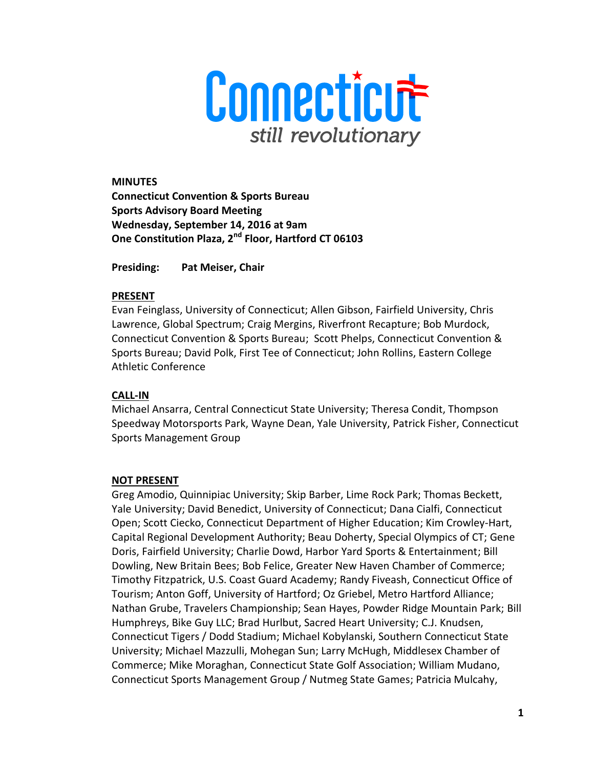

**MINUTES Connecticut Convention & Sports Bureau Sports Advisory Board Meeting Wednesday, September 14, 2016 at 9am One Constitution Plaza, 2nd Floor, Hartford CT 06103** 

**Presiding: Pat Meiser, Chair** 

#### **PRESENT**

Evan Feinglass, University of Connecticut; Allen Gibson, Fairfield University, Chris Lawrence, Global Spectrum; Craig Mergins, Riverfront Recapture; Bob Murdock, Connecticut Convention & Sports Bureau; Scott Phelps, Connecticut Convention & Sports Bureau; David Polk, First Tee of Connecticut; John Rollins, Eastern College Athletic Conference

### **CALL-IN**

Michael Ansarra, Central Connecticut State University; Theresa Condit, Thompson Speedway Motorsports Park, Wayne Dean, Yale University, Patrick Fisher, Connecticut Sports Management Group

### **NOT PRESENT**

Greg Amodio, Quinnipiac University; Skip Barber, Lime Rock Park; Thomas Beckett, Yale University; David Benedict, University of Connecticut; Dana Cialfi, Connecticut Open; Scott Ciecko, Connecticut Department of Higher Education; Kim Crowley-Hart, Capital Regional Development Authority; Beau Doherty, Special Olympics of CT; Gene Doris, Fairfield University; Charlie Dowd, Harbor Yard Sports & Entertainment; Bill Dowling, New Britain Bees; Bob Felice, Greater New Haven Chamber of Commerce; Timothy Fitzpatrick, U.S. Coast Guard Academy; Randy Fiveash, Connecticut Office of Tourism; Anton Goff, University of Hartford; Oz Griebel, Metro Hartford Alliance; Nathan Grube, Travelers Championship; Sean Hayes, Powder Ridge Mountain Park; Bill Humphreys, Bike Guy LLC; Brad Hurlbut, Sacred Heart University; C.J. Knudsen, Connecticut Tigers / Dodd Stadium; Michael Kobylanski, Southern Connecticut State University; Michael Mazzulli, Mohegan Sun; Larry McHugh, Middlesex Chamber of Commerce; Mike Moraghan, Connecticut State Golf Association; William Mudano, Connecticut Sports Management Group / Nutmeg State Games; Patricia Mulcahy,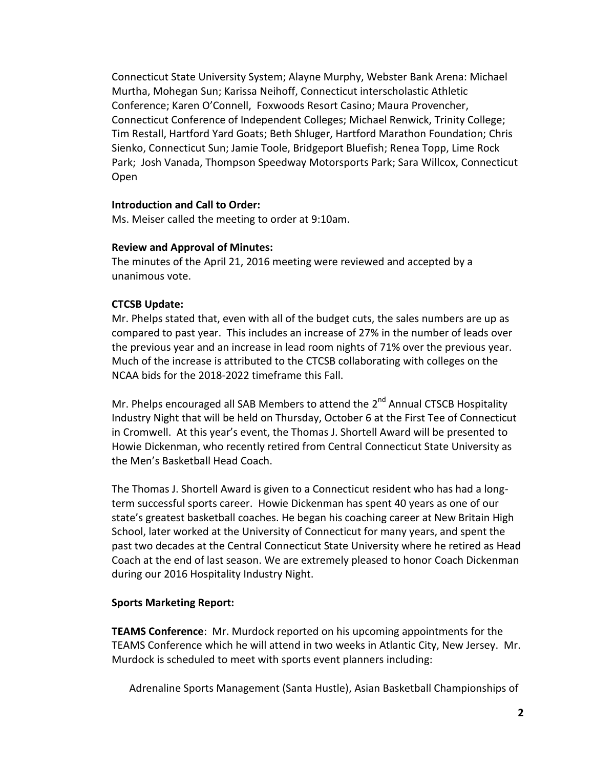Connecticut State University System; Alayne Murphy, Webster Bank Arena: Michael Murtha, Mohegan Sun; Karissa Neihoff, Connecticut interscholastic Athletic Conference; Karen O'Connell, Foxwoods Resort Casino; Maura Provencher, Connecticut Conference of Independent Colleges; Michael Renwick, Trinity College; Tim Restall, Hartford Yard Goats; Beth Shluger, Hartford Marathon Foundation; Chris Sienko, Connecticut Sun; Jamie Toole, Bridgeport Bluefish; Renea Topp, Lime Rock Park; Josh Vanada, Thompson Speedway Motorsports Park; Sara Willcox, Connecticut Open

### **Introduction and Call to Order:**

Ms. Meiser called the meeting to order at 9:10am.

#### **Review and Approval of Minutes:**

The minutes of the April 21, 2016 meeting were reviewed and accepted by a unanimous vote.

### **CTCSB Update:**

Mr. Phelps stated that, even with all of the budget cuts, the sales numbers are up as compared to past year. This includes an increase of 27% in the number of leads over the previous year and an increase in lead room nights of 71% over the previous year. Much of the increase is attributed to the CTCSB collaborating with colleges on the NCAA bids for the 2018-2022 timeframe this Fall.

Mr. Phelps encouraged all SAB Members to attend the 2<sup>nd</sup> Annual CTSCB Hospitality Industry Night that will be held on Thursday, October 6 at the First Tee of Connecticut in Cromwell. At this year's event, the Thomas J. Shortell Award will be presented to Howie Dickenman, who recently retired from Central Connecticut State University as the Men's Basketball Head Coach.

The Thomas J. Shortell Award is given to a Connecticut resident who has had a longterm successful sports career. Howie Dickenman has spent 40 years as one of our state's greatest basketball coaches. He began his coaching career at New Britain High School, later worked at the University of Connecticut for many years, and spent the past two decades at the Central Connecticut State University where he retired as Head Coach at the end of last season. We are extremely pleased to honor Coach Dickenman during our 2016 Hospitality Industry Night.

### **Sports Marketing Report:**

**TEAMS Conference**: Mr. Murdock reported on his upcoming appointments for the TEAMS Conference which he will attend in two weeks in Atlantic City, New Jersey. Mr. Murdock is scheduled to meet with sports event planners including:

Adrenaline Sports Management (Santa Hustle), Asian Basketball Championships of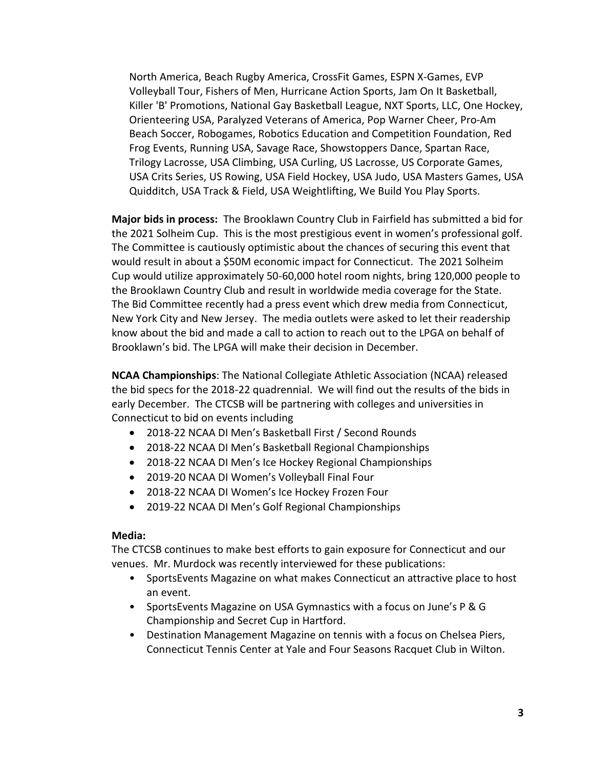North America, Beach Rugby America, CrossFit Games, ESPN X-Games, EVP Volleyball Tour, Fishers of Men, Hurricane Action Sports, Jam On It Basketball, Killer 'B' Promotions, National Gay Basketball League, NXT Sports, LLC, One Hockey, Orienteering USA, Paralyzed Veterans of America, Pop Warner Cheer, Pro-Am Beach Soccer, Robogames, Robotics Education and Competition Foundation, Red Frog Events, Running USA, Savage Race, Showstoppers Dance, Spartan Race, Trilogy Lacrosse, USA Climbing, USA Curling, US Lacrosse, US Corporate Games, USA Crits Series, US Rowing, USA Field Hockey, USA Judo, USA Masters Games, USA Quidditch, USA Track & Field, USA Weightlifting, We Build You Play Sports.

**Major bids in process:** The Brooklawn Country Club in Fairfield has submitted a bid for the 2021 Solheim Cup. This is the most prestigious event in women's professional golf. The Committee is cautiously optimistic about the chances of securing this event that would result in about a \$50M economic impact for Connecticut. The 2021 Solheim Cup would utilize approximately 50-60,000 hotel room nights, bring 120,000 people to the Brooklawn Country Club and result in worldwide media coverage for the State. The Bid Committee recently had a press event which drew media from Connecticut, New York City and New Jersey. The media outlets were asked to let their readership know about the bid and made a call to action to reach out to the LPGA on behalf of Brooklawn's bid. The LPGA will make their decision in December.

**NCAA Championships**: The National Collegiate Athletic Association (NCAA) released the bid specs for the 2018-22 quadrennial. We will find out the results of the bids in early December. The CTCSB will be partnering with colleges and universities in Connecticut to bid on events including

- 2018-22 NCAA DI Men's Basketball First / Second Rounds
- 2018-22 NCAA DI Men's Basketball Regional Championships
- 2018-22 NCAA DI Men's Ice Hockey Regional Championships
- 2019-20 NCAA DI Women's Volleyball Final Four
- 2018-22 NCAA DI Women's Ice Hockey Frozen Four
- 2019-22 NCAA DI Men's Golf Regional Championships

#### **Media:**

The CTCSB continues to make best efforts to gain exposure for Connecticut and our venues. Mr. Murdock was recently interviewed for these publications:

- SportsEvents Magazine on what makes Connecticut an attractive place to host an event.
- SportsEvents Magazine on USA Gymnastics with a focus on June's P & G Championship and Secret Cup in Hartford.
- Destination Management Magazine on tennis with a focus on Chelsea Piers, Connecticut Tennis Center at Yale and Four Seasons Racquet Club in Wilton.